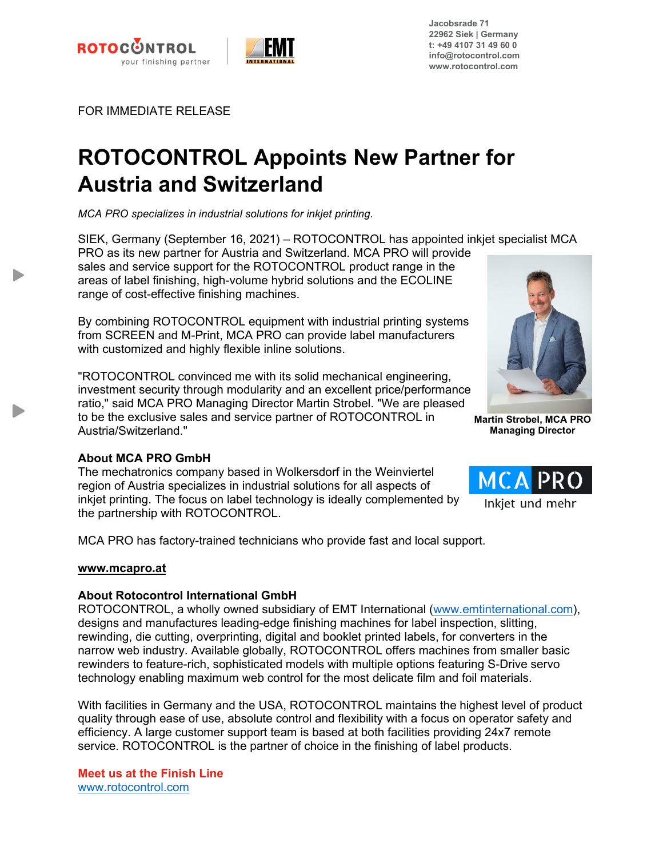



**Jacobsrade 71 22962 Siek | Germany t: +49 4107 31 49 60 0 info@rotocontrol.com www.rotocontrol.com**

FOR IMMEDIATE RELEASE

# **ROTOCONTROL Appoints New Partner for Austria and Switzerland**

*MCA PRO specializes in industrial solutions for inkjet printing.*

SIEK, Germany (September 16, 2021) – ROTOCONTROL has appointed inkjet specialist MCA PRO as its new partner for Austria and Switzerland. MCA PRO will provide sales and service support for the ROTOCONTROL product range in the areas of label finishing, high-volume hybrid solutions and the ECOLINE

range of cost-effective finishing machines.

By combining ROTOCONTROL equipment with industrial printing systems from SCREEN and M-Print, MCA PRO can provide label manufacturers with customized and highly flexible inline solutions.

"ROTOCONTROL convinced me with its solid mechanical engineering, investment security through modularity and an excellent price/performance ratio," said MCA PRO Managing Director Martin Strobel. "We are pleased to be the exclusive sales and service partner of ROTOCONTROL in Austria/Switzerland."



**Martin Strobel, MCA PRO Managing Director**

MCA

## **About MCA PRO GmbH**

The mechatronics company based in Wolkersdorf in the Weinviertel region of Austria specializes in industrial solutions for all aspects of inkjet printing. The focus on label technology is ideally complemented by **hurting** und mehr the partnership with ROTOCONTROL.

MCA PRO has factory-trained technicians who provide fast and local support.

#### **www.mcapro.at**

## **About Rotocontrol International GmbH**

ROTOCONTROL, a wholly owned subsidiary of EMT International (www.emtinternational.com), designs and manufactures leading-edge finishing machines for label inspection, slitting, rewinding, die cutting, overprinting, digital and booklet printed labels, for converters in the narrow web industry. Available globally, ROTOCONTROL offers machines from smaller basic rewinders to feature-rich, sophisticated models with multiple options featuring S-Drive servo technology enabling maximum web control for the most delicate film and foil materials.

With facilities in Germany and the USA, ROTOCONTROL maintains the highest level of product quality through ease of use, absolute control and flexibility with a focus on operator safety and efficiency. A large customer support team is based at both facilities providing 24x7 remote service. ROTOCONTROL is the partner of choice in the finishing of label products.

**Meet us at the Finish Line** www.rotocontrol.com